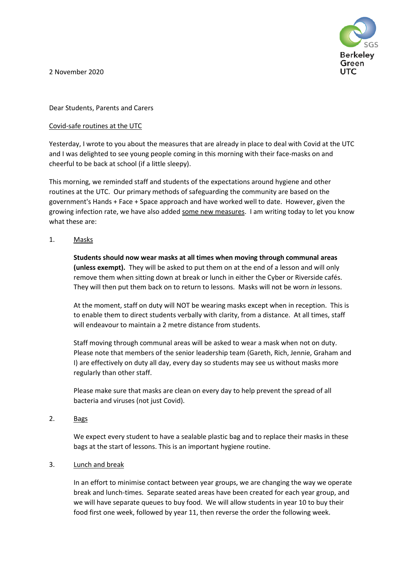

2 November 2020

Dear Students, Parents and Carers

## Covid-safe routines at the UTC

Yesterday, I wrote to you about the measures that are already in place to deal with Covid at the UTC and I was delighted to see young people coming in this morning with their face-masks on and cheerful to be back at school (if a little sleepy).

This morning, we reminded staff and students of the expectations around hygiene and other routines at the UTC. Our primary methods of safeguarding the community are based on the government's Hands + Face + Space approach and have worked well to date. However, given the growing infection rate, we have also added some new measures. I am writing today to let you know what these are:

1. Masks

**Students should now wear masks at all times when moving through communal areas (unless exempt).** They will be asked to put them on at the end of a lesson and will only remove them when sitting down at break or lunch in either the Cyber or Riverside cafés. They will then put them back on to return to lessons. Masks will not be worn *in* lessons.

At the moment, staff on duty will NOT be wearing masks except when in reception. This is to enable them to direct students verbally with clarity, from a distance. At all times, staff will endeavour to maintain a 2 metre distance from students.

Staff moving through communal areas will be asked to wear a mask when not on duty. Please note that members of the senior leadership team (Gareth, Rich, Jennie, Graham and I) are effectively on duty all day, every day so students may see us without masks more regularly than other staff.

Please make sure that masks are clean on every day to help prevent the spread of all bacteria and viruses (not just Covid).

2. Bags

We expect every student to have a sealable plastic bag and to replace their masks in these bags at the start of lessons. This is an important hygiene routine.

### 3. Lunch and break

In an effort to minimise contact between year groups, we are changing the way we operate break and lunch-times. Separate seated areas have been created for each year group, and we will have separate queues to buy food. We will allow students in year 10 to buy their food first one week, followed by year 11, then reverse the order the following week.